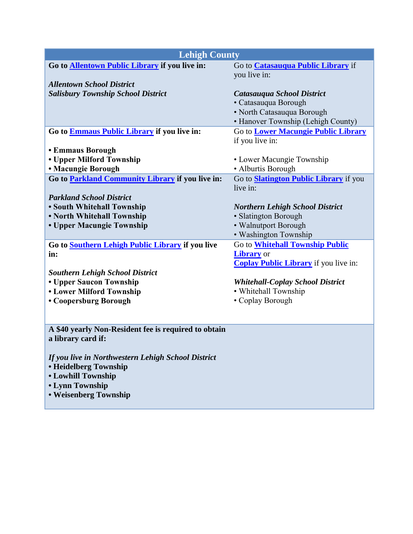| <b>Lehigh County</b>                                 |                                               |  |
|------------------------------------------------------|-----------------------------------------------|--|
| Go to Allentown Public Library if you live in:       | Go to <b>Catasauqua Public Library</b> if     |  |
|                                                      | you live in:                                  |  |
| <b>Allentown School District</b>                     |                                               |  |
| <b>Salisbury Township School District</b>            | Catasauqua School District                    |  |
|                                                      | • Catasauqua Borough                          |  |
|                                                      | • North Catasauqua Borough                    |  |
|                                                      | • Hanover Township (Lehigh County)            |  |
| Go to <b>Emmaus Public Library</b> if you live in:   | Go to <b>Lower Macungie Public Library</b>    |  |
|                                                      | if you live in:                               |  |
| <b>• Emmaus Borough</b><br>• Upper Milford Township  | • Lower Macungie Township                     |  |
| <b>• Macungie Borough</b>                            | • Alburtis Borough                            |  |
| Go to Parkland Community Library if you live in:     | Go to <b>Slatington Public Library</b> if you |  |
|                                                      | live in:                                      |  |
| <b>Parkland School District</b>                      |                                               |  |
| • South Whitehall Township                           | <b>Northern Lehigh School District</b>        |  |
| • North Whitehall Township                           | • Slatington Borough                          |  |
| • Upper Macungie Township                            | • Walnutport Borough                          |  |
|                                                      | · Washington Township                         |  |
| Go to Southern Lehigh Public Library if you live     | Go to <b>Whitehall Township Public</b>        |  |
| in:                                                  | <b>Library</b> or                             |  |
|                                                      | <b>Coplay Public Library</b> if you live in:  |  |
| <b>Southern Lehigh School District</b>               |                                               |  |
| • Upper Saucon Township                              | <b>Whitehall-Coplay School District</b>       |  |
| <b>• Lower Milford Township</b>                      | • Whitehall Township                          |  |
| • Coopersburg Borough                                | • Coplay Borough                              |  |
|                                                      |                                               |  |
| A \$40 yearly Non-Resident fee is required to obtain |                                               |  |
| a library card if:                                   |                                               |  |
|                                                      |                                               |  |
| If you live in Northwestern Lehigh School District   |                                               |  |
| <b>• Heidelberg Township</b>                         |                                               |  |
| <b>• Lowhill Township</b>                            |                                               |  |
| • Lynn Township                                      |                                               |  |
| • Weisenberg Township                                |                                               |  |
|                                                      |                                               |  |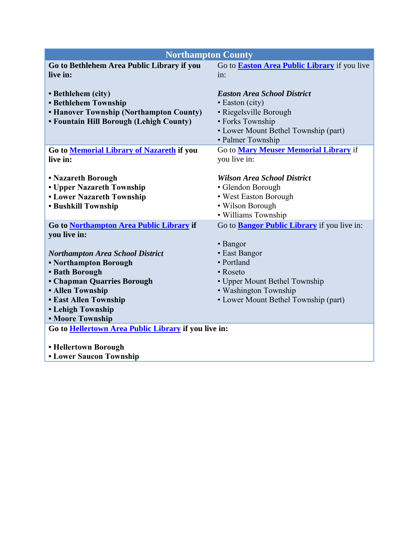| <b>Northampton County</b>                                                                                                                                                                                     |                                                                                                                                                                  |  |
|---------------------------------------------------------------------------------------------------------------------------------------------------------------------------------------------------------------|------------------------------------------------------------------------------------------------------------------------------------------------------------------|--|
| Go to Bethlehem Area Public Library if you<br>live in:                                                                                                                                                        | Go to <b>Easton Area Public Library</b> if you live<br>in:                                                                                                       |  |
| • Bethlehem (city)<br><b>• Bethlehem Township</b><br>• Hanover Township (Northampton County)<br>• Fountain Hill Borough (Lehigh County)                                                                       | <b>Easton Area School District</b><br>• Easton (city)<br>· Riegelsville Borough<br>• Forks Township<br>• Lower Mount Bethel Township (part)<br>• Palmer Township |  |
| Go to Memorial Library of Nazareth if you<br>live in:                                                                                                                                                         | Go to Mary Meuser Memorial Library if<br>you live in:                                                                                                            |  |
| • Nazareth Borough<br>• Upper Nazareth Township<br><b>• Lower Nazareth Township</b><br><b>• Bushkill Township</b>                                                                                             | <b>Wilson Area School District</b><br>· Glendon Borough<br>• West Easton Borough<br>• Wilson Borough<br>· Williams Township                                      |  |
| Go to Northampton Area Public Library if<br>you live in:                                                                                                                                                      | Go to <b>Bangor Public Library</b> if you live in:<br>• Bangor                                                                                                   |  |
| <b>Northampton Area School District</b><br>• Northampton Borough<br>• Bath Borough<br>• Chapman Quarries Borough<br>· Allen Township<br><b>• East Allen Township</b><br>• Lehigh Township<br>• Moore Township | • East Bangor<br>• Portland<br>• Roseto<br>• Upper Mount Bethel Township<br>• Washington Township<br>• Lower Mount Bethel Township (part)                        |  |
| Go to Hellertown Area Public Library if you live in:<br>• Hellertown Borough<br><b>• Lower Saucon Township</b>                                                                                                |                                                                                                                                                                  |  |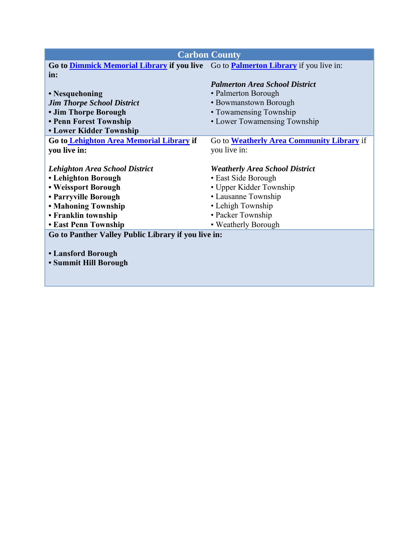| <b>Carbon County</b>                                                                             |                                           |  |
|--------------------------------------------------------------------------------------------------|-------------------------------------------|--|
| Go to <b>Dimmick Memorial Library if you live</b> Go to <b>Palmerton Library</b> if you live in: |                                           |  |
| in:                                                                                              |                                           |  |
|                                                                                                  | <b>Palmerton Area School District</b>     |  |
| • Nesquehoning                                                                                   | • Palmerton Borough                       |  |
| <b>Jim Thorpe School District</b>                                                                | • Bowmanstown Borough                     |  |
| • Jim Thorpe Borough                                                                             | • Towamensing Township                    |  |
| • Penn Forest Township                                                                           | • Lower Towamensing Township              |  |
| <b>• Lower Kidder Township</b>                                                                   |                                           |  |
| Go to Lehighton Area Memorial Library if                                                         | Go to Weatherly Area Community Library if |  |
| you live in:                                                                                     | you live in:                              |  |
|                                                                                                  |                                           |  |
| <b>Lehighton Area School District</b>                                                            | <b>Weatherly Area School District</b>     |  |
| • Lehighton Borough                                                                              | • East Side Borough                       |  |
| • Weissport Borough                                                                              | • Upper Kidder Township                   |  |
| • Parryville Borough                                                                             | • Lausanne Township                       |  |
| <b>• Mahoning Township</b>                                                                       | • Lehigh Township                         |  |
| • Franklin township                                                                              | • Packer Township                         |  |
| <b>• East Penn Township</b>                                                                      | • Weatherly Borough                       |  |
| Go to Panther Valley Public Library if you live in:                                              |                                           |  |
|                                                                                                  |                                           |  |
| • Lansford Borough                                                                               |                                           |  |
| • Summit Hill Borough                                                                            |                                           |  |
|                                                                                                  |                                           |  |
|                                                                                                  |                                           |  |